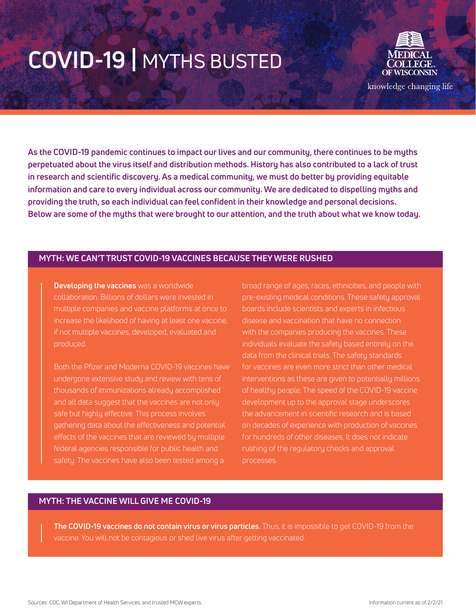

**As the COVID-19 pandemic continues to impact our lives and our community, there continues to be myths perpetuated about the virus itself and distribution methods. History has also contributed to a lack of trust in research and scientific discovery. As a medical community, we must do better by providing equitable information and care to every individual across our community. We are dedicated to dispelling myths and providing the truth, so each individual can feel confident in their knowledge and personal decisions. Below are some of the myths that were brought to our attention, and the truth about what we know today.** 

#### **MYTH: WE CAN'T TRUST COVID-19 VACCINES BECAUSE THEY WERE RUSHED**

**Developing the vaccines** was a worldwide collaboration. Billions of dollars were invested in multiple companies and vaccine platforms at once to if not multiple vaccines, developed, evaluated and produced.

Both the Pfizer and Moderna COVID-19 vaccines have undergone extensive study and review with tens of thousands of immunizations already accomplished and all data suggest that the vaccines are not only gathering data about the effectiveness and potential effects of the vaccines that are reviewed by multiple federal agencies responsible for public health and

broad range of ages, races, ethnicities, and people with pre-existing medical conditions. These safety approval boards include scientists and experts in infectious with the companies producing the vaccines. These individuals evaluate the safety based entirely on the data from the clinical trials. The safety standards for vaccines are even more strict than other medical interventions as these are given to potentially millions of healthy people. The speed of the COVID-19 vaccine development up to the approval stage underscores the advancement in scientific research and is based on decades of experience with production of vaccines for hundreds of other diseases. It does not indicate rushing of the regulatory checks and approval processes.

### **MYTH: THE VACCINE WILL GIVE ME COVID-19**

**The COVID-19 vaccines do not contain virus or virus particles.** Thus, it is impossible to get COVID-19 from the vaccine. You will not be contagious or shed live virus after getting vaccinated.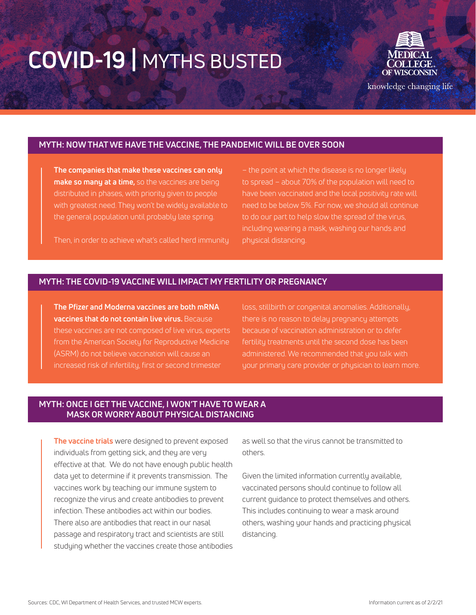

knowledge changing life

## **MYTH: NOW THAT WE HAVE THE VACCINE, THE PANDEMIC WILL BE OVER SOON**

**The companies that make these vaccines can only make so many at a time,** so the vaccines are being distributed in phases, with priority given to people the general population until probably late spring.

– the point at which the disease is no longer likely to spread – about 70% of the population will need to have been vaccinated and the local positivity rate will to do our part to help slow the spread of the virus, physical distancing.

Then, in order to achieve what's called herd immunity

## **MYTH: THE COVID-19 VACCINE WILL IMPACT MY FERTILITY OR PREGNANCY**

**The Pfizer and Moderna vaccines are both mRNA vaccines that do not contain live virus.** Because these vaccines are not composed of live virus, experts (ASRM) do not believe vaccination will cause an increased risk of infertility, first or second trimester

loss, stillbirth or congenital anomalies. Additionally, there is no reason to delay pregnancy attempts because of vaccination administration or to defer administered. We recommended that you talk with

## **MYTH: ONCE I GET THE VACCINE, I WON'T HAVE TO WEAR A MASK OR WORRY ABOUT PHYSICAL DISTANCING**

**The vaccine trials** were designed to prevent exposed individuals from getting sick, and they are very effective at that. We do not have enough public health data yet to determine if it prevents transmission. The vaccines work by teaching our immune system to recognize the virus and create antibodies to prevent infection. These antibodies act within our bodies. There also are antibodies that react in our nasal passage and respiratory tract and scientists are still studying whether the vaccines create those antibodies

as well so that the virus cannot be transmitted to others.

Given the limited information currently available, vaccinated persons should continue to follow all current guidance to protect themselves and others. This includes continuing to wear a mask around others, washing your hands and practicing physical distancing.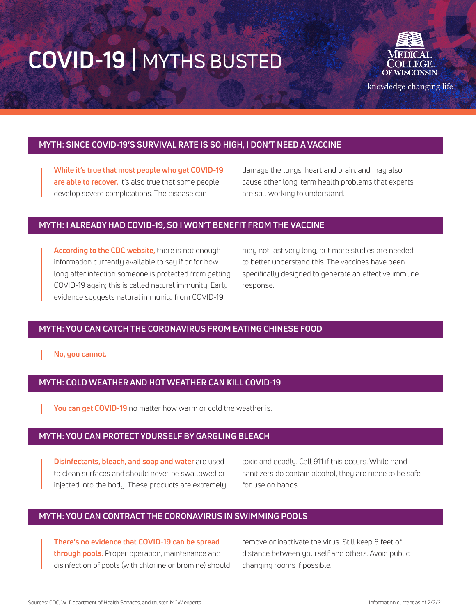

knowledge changing life

## **MYTH: SINCE COVID-19'S SURVIVAL RATE IS SO HIGH, I DON'T NEED A VACCINE**

**While it's true that most people who get COVID-19 are able to recover,** it's also true that some people develop severe complications. The disease can

damage the lungs, heart and brain, and may also cause other long-term health problems that experts are still working to understand.

#### **MYTH: I ALREADY HAD COVID-19, SO I WON'T BENEFIT FROM THE VACCINE**

**According to the CDC website,** there is not enough information currently available to say if or for how long after infection someone is protected from getting COVID-19 again; this is called natural immunity. Early evidence suggests natural immunity from COVID-19

may not last very long, but more studies are needed to better understand this. The vaccines have been specifically designed to generate an effective immune response.

## **MYTH: YOU CAN CATCH THE CORONAVIRUS FROM EATING CHINESE FOOD**

**No, you cannot.**

## **MYTH: COLD WEATHER AND HOT WEATHER CAN KILL COVID-19**

**You can get COVID-19** no matter how warm or cold the weather is.

#### **MYTH: YOU CAN PROTECT YOURSELF BY GARGLING BLEACH**

**Disinfectants, bleach, and soap and water** are used to clean surfaces and should never be swallowed or injected into the body. These products are extremely toxic and deadly. Call 911 if this occurs. While hand sanitizers do contain alcohol, they are made to be safe for use on hands.

### **MYTH: YOU CAN CONTRACT THE CORONAVIRUS IN SWIMMING POOLS**

**There's no evidence that COVID-19 can be spread through pools.** Proper operation, maintenance and disinfection of pools (with chlorine or bromine) should remove or inactivate the virus. Still keep 6 feet of distance between yourself and others. Avoid public changing rooms if possible.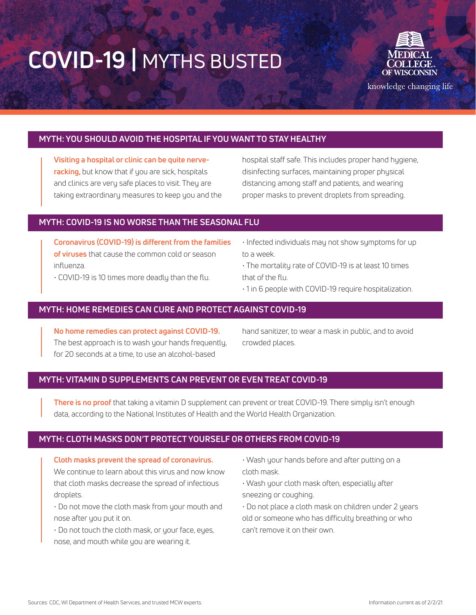

knowledge changing life

## **MYTH: YOU SHOULD AVOID THE HOSPITAL IF YOU WANT TO STAY HEALTHY**

**Visiting a hospital or clinic can be quite nerveracking,** but know that if you are sick, hospitals and clinics are very safe places to visit. They are taking extraordinary measures to keep you and the hospital staff safe. This includes proper hand hygiene, disinfecting surfaces, maintaining proper physical distancing among staff and patients, and wearing proper masks to prevent droplets from spreading.

### **MYTH: COVID-19 IS NO WORSE THAN THE SEASONAL FLU**

**Coronavirus (COVID-19) is different from the families of viruses** that cause the common cold or season influenza.

• COVID-19 is 10 times more deadly than the flu.

• Infected individuals may not show symptoms for up to a week.

• The mortality rate of COVID-19 is at least 10 times that of the flu.

• 1 in 6 people with COVID-19 require hospitalization.

## **MYTH: HOME REMEDIES CAN CURE AND PROTECT AGAINST COVID-19**

**No home remedies can protect against COVID-19.**  The best approach is to wash your hands frequently, for 20 seconds at a time, to use an alcohol-based

hand sanitizer, to wear a mask in public, and to avoid crowded places.

## **MYTH: VITAMIN D SUPPLEMENTS CAN PREVENT OR EVEN TREAT COVID-19**

**There is no proof** that taking a vitamin D supplement can prevent or treat COVID-19. There simply isn't enough data, according to the National Institutes of Health and the World Health Organization.

#### **MYTH: CLOTH MASKS DON'T PROTECT YOURSELF OR OTHERS FROM COVID-19**

**Cloth masks prevent the spread of coronavirus.** We continue to learn about this virus and now know that cloth masks decrease the spread of infectious droplets.

• Do not move the cloth mask from your mouth and nose after you put it on.

• Do not touch the cloth mask, or your face, eyes, nose, and mouth while you are wearing it.

• Wash your hands before and after putting on a cloth mask.

• Wash your cloth mask often, especially after sneezing or coughing.

• Do not place a cloth mask on children under 2 years old or someone who has difficulty breathing or who can't remove it on their own.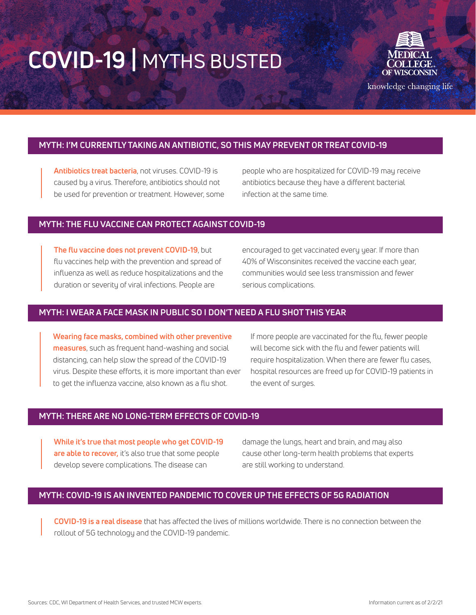

knowledge changing life

## **MYTH: I'M CURRENTLY TAKING AN ANTIBIOTIC, SO THIS MAY PREVENT OR TREAT COVID-19**

**Antibiotics treat bacteria**, not viruses. COVID-19 is caused by a virus. Therefore, antibiotics should not be used for prevention or treatment. However, some people who are hospitalized for COVID-19 may receive antibiotics because they have a different bacterial infection at the same time.

### **MYTH: THE FLU VACCINE CAN PROTECT AGAINST COVID-19**

**The flu vaccine does not prevent COVID-19**, but flu vaccines help with the prevention and spread of influenza as well as reduce hospitalizations and the duration or severity of viral infections. People are

encouraged to get vaccinated every year. If more than 40% of Wisconsinites received the vaccine each year, communities would see less transmission and fewer serious complications.

## **MYTH: I WEAR A FACE MASK IN PUBLIC SO I DON'T NEED A FLU SHOT THIS YEAR**

**Wearing face masks, combined with other preventive measures**, such as frequent hand-washing and social distancing, can help slow the spread of the COVID-19 virus. Despite these efforts, it is more important than ever to get the influenza vaccine, also known as a flu shot.

If more people are vaccinated for the flu, fewer people will become sick with the flu and fewer patients will require hospitalization. When there are fewer flu cases, hospital resources are freed up for COVID-19 patients in the event of surges.

#### **MYTH: THERE ARE NO LONG-TERM EFFECTS OF COVID-19**

**While it's true that most people who get COVID-19 are able to recover,** it's also true that some people develop severe complications. The disease can

damage the lungs, heart and brain, and may also cause other long-term health problems that experts are still working to understand.

## **MYTH: COVID-19 IS AN INVENTED PANDEMIC TO COVER UP THE EFFECTS OF 5G RADIATION**

**COVID-19 is a real disease** that has affected the lives of millions worldwide. There is no connection between the rollout of 5G technology and the COVID-19 pandemic.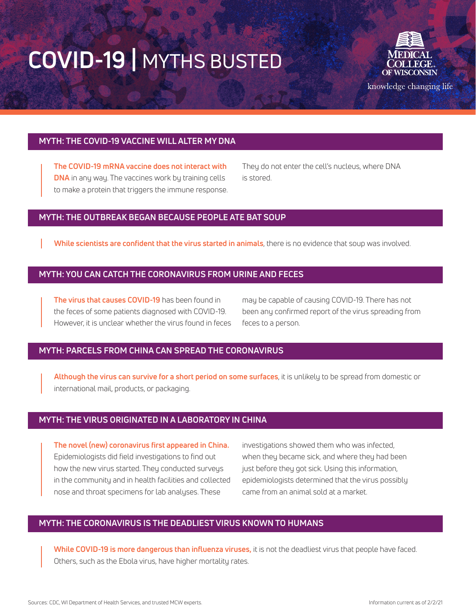

knowledge changing life

## **MYTH: THE COVID-19 VACCINE WILL ALTER MY DNA**

**The COVID-19 mRNA vaccine does not interact with DNA** in any way. The vaccines work by training cells to make a protein that triggers the immune response. They do not enter the cell's nucleus, where DNA is stored.

#### **MYTH: THE OUTBREAK BEGAN BECAUSE PEOPLE ATE BAT SOUP**

**While scientists are confident that the virus started in animals**, there is no evidence that soup was involved.

### **MYTH: YOU CAN CATCH THE CORONAVIRUS FROM URINE AND FECES**

**The virus that causes COVID-19** has been found in the feces of some patients diagnosed with COVID-19. However, it is unclear whether the virus found in feces may be capable of causing COVID-19. There has not been any confirmed report of the virus spreading from feces to a person.

## **MYTH: PARCELS FROM CHINA CAN SPREAD THE CORONAVIRUS**

**Although the virus can survive for a short period on some surfaces**, it is unlikely to be spread from domestic or international mail, products, or packaging.

## **MYTH: THE VIRUS ORIGINATED IN A LABORATORY IN CHINA**

**The novel (new) coronavirus first appeared in China.** Epidemiologists did field investigations to find out how the new virus started. They conducted surveys in the community and in health facilities and collected nose and throat specimens for lab analyses. These

investigations showed them who was infected, when they became sick, and where they had been just before they got sick. Using this information, epidemiologists determined that the virus possibly came from an animal sold at a market.

## **MYTH: THE CORONAVIRUS IS THE DEADLIEST VIRUS KNOWN TO HUMANS**

**While COVID-19 is more dangerous than influenza viruses,** it is not the deadliest virus that people have faced. Others, such as the Ebola virus, have higher mortality rates.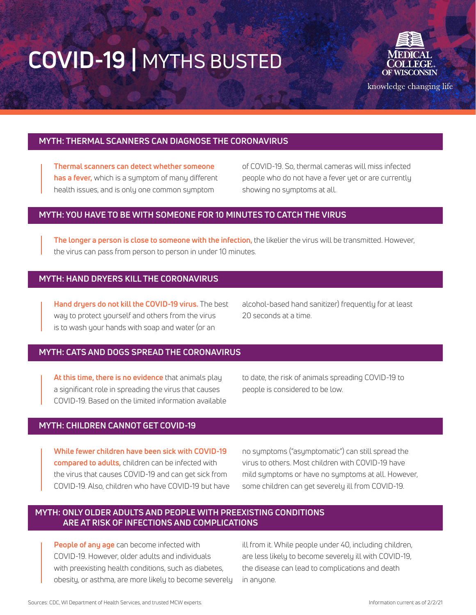

knowledge changing life

## **MYTH: THERMAL SCANNERS CAN DIAGNOSE THE CORONAVIRUS**

**Thermal scanners can detect whether someone has a fever,** which is a symptom of many different health issues, and is only one common symptom

of COVID-19. So, thermal cameras will miss infected people who do not have a fever yet or are currently showing no symptoms at all.

## **MYTH: YOU HAVE TO BE WITH SOMEONE FOR 10 MINUTES TO CATCH THE VIRUS**

**The longer a person is close to someone with the infection,** the likelier the virus will be transmitted. However, the virus can pass from person to person in under 10 minutes.

#### **MYTH: HAND DRYERS KILL THE CORONAVIRUS**

**Hand dryers do not kill the COVID-19 virus.** The best way to protect yourself and others from the virus is to wash your hands with soap and water (or an

alcohol-based hand sanitizer) frequently for at least 20 seconds at a time.

#### **MYTH: CATS AND DOGS SPREAD THE CORONAVIRUS**

**At this time, there is no evidence** that animals play a significant role in spreading the virus that causes COVID-19. Based on the limited information available

to date, the risk of animals spreading COVID-19 to people is considered to be low.

#### **MYTH: CHILDREN CANNOT GET COVID-19**

**While fewer children have been sick with COVID-19 compared to adults,** children can be infected with the virus that causes COVID-19 and can get sick from COVID-19. Also, children who have COVID-19 but have no symptoms ("asymptomatic") can still spread the virus to others. Most children with COVID-19 have mild symptoms or have no symptoms at all. However, some children can get severely ill from COVID-19.

## **MYTH: ONLY OLDER ADULTS AND PEOPLE WITH PREEXISTING CONDITIONS ARE AT RISK OF INFECTIONS AND COMPLICATIONS**

**People of any age** can become infected with COVID-19. However, older adults and individuals with preexisting health conditions, such as diabetes, obesity, or asthma, are more likely to become severely

ill from it. While people under 40, including children, are less likely to become severely ill with COVID-19, the disease can lead to complications and death in anyone.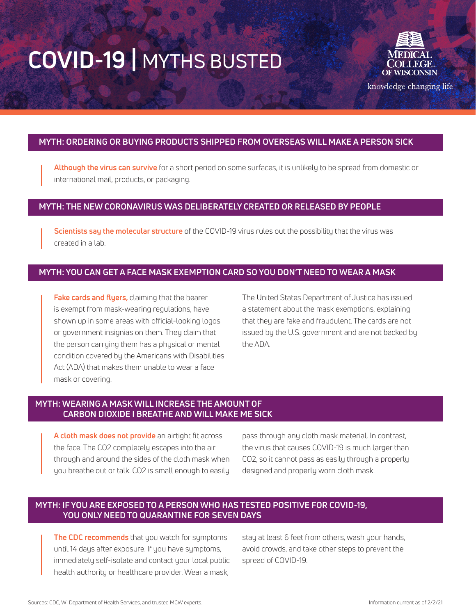

knowledge changing life

## **MYTH: ORDERING OR BUYING PRODUCTS SHIPPED FROM OVERSEAS WILL MAKE A PERSON SICK**

**Although the virus can survive** for a short period on some surfaces, it is unlikely to be spread from domestic or international mail, products, or packaging.

## **MYTH: THE NEW CORONAVIRUS WAS DELIBERATELY CREATED OR RELEASED BY PEOPLE**

**Scientists say the molecular structure** of the COVID-19 virus rules out the possibility that the virus was created in a lab.

## **MYTH: YOU CAN GET A FACE MASK EXEMPTION CARD SO YOU DON'T NEED TO WEAR A MASK**

**Fake cards and flyers,** claiming that the bearer is exempt from mask-wearing regulations, have shown up in some areas with official-looking logos or government insignias on them. They claim that the person carrying them has a physical or mental condition covered by the Americans with Disabilities Act (ADA) that makes them unable to wear a face mask or covering.

The United States Department of Justice has issued a statement about the mask exemptions, explaining that they are fake and fraudulent. The cards are not issued by the U.S. government and are not backed by the ADA.

## **MYTH: WEARING A MASK WILL INCREASE THE AMOUNT OF CARBON DIOXIDE I BREATHE AND WILL MAKE ME SICK**

**A cloth mask does not provide** an airtight fit across the face. The CO2 completely escapes into the air through and around the sides of the cloth mask when you breathe out or talk. CO2 is small enough to easily pass through any cloth mask material. In contrast, the virus that causes COVID-19 is much larger than CO2, so it cannot pass as easily through a properly designed and properly worn cloth mask.

## **MYTH: IF YOU ARE EXPOSED TO A PERSON WHO HAS TESTED POSITIVE FOR COVID-19, YOU ONLY NEED TO QUARANTINE FOR SEVEN DAYS**

**The CDC recommends** that you watch for symptoms until 14 days after exposure. If you have symptoms, immediately self-isolate and contact your local public health authority or healthcare provider. Wear a mask,

stay at least 6 feet from others, wash your hands, avoid crowds, and take other steps to prevent the spread of COVID-19.